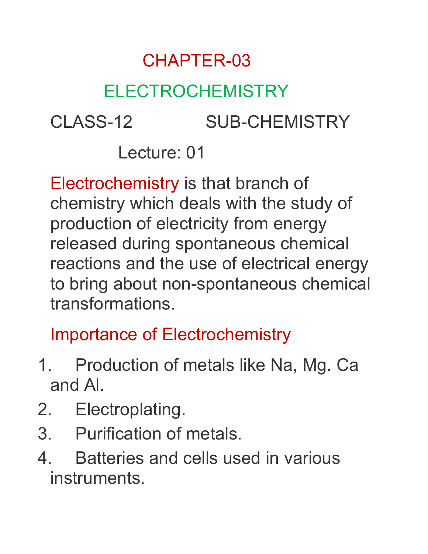# CHAPTER-03

# ELECTROCHEMISTRY

CLASS-12 SUB-CHEMISTRY

Lecture: 01

Electrochemistry is that branch of chemistry which deals with the study of production of electricity from energy released during spontaneous chemical reactions and the use of electrical energy to bring about non-spontaneous chemical transformations.

# Importance of Electrochemistry

- 1. Production of metals like Na, Mg. Ca and Al.
- 2. Electroplating.
- 3. Purification of metals.
- 4. Batteries and cells used in various instruments.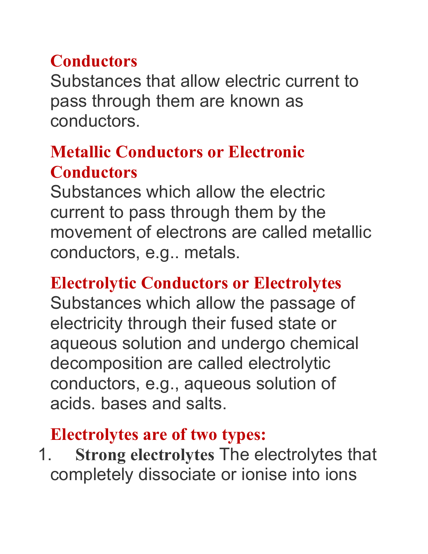### **Conductors**

Substances that allow electric current to pass through them are known as conductors.

### **Metallic Conductors or Electronic Conductors**

Substances which allow the electric current to pass through them by the movement of electrons are called metallic conductors, e.g.. metals.

### **Electrolytic Conductors or Electrolytes**

Substances which allow the passage of electricity through their fused state or aqueous solution and undergo chemical decomposition are called electrolytic conductors, e.g., aqueous solution of acids. bases and salts.

#### **Electrolytes are of two types:**

1. **Strong electrolytes** The electrolytes that completely dissociate or ionise into ions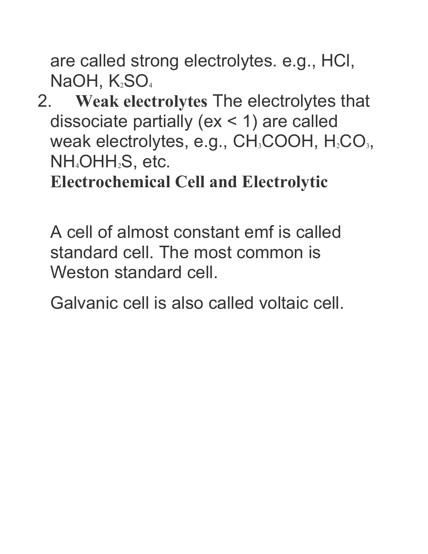are called strong electrolytes. e.g., HCl, NaOH,  $K_2SO_4$ 

2. **Weak electrolytes** The electrolytes that dissociate partially (ex < 1) are called weak electrolytes, e.g., CH<sub>3</sub>COOH, H<sub>2</sub>CO<sub>3</sub>, NH4OHH2S, etc.

**Electrochemical Cell and Electrolytic**

A cell of almost constant emf is called standard cell. The most common is Weston standard cell.

Galvanic cell is also called voltaic cell.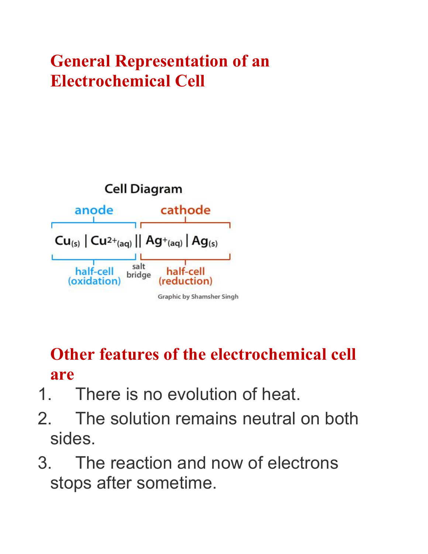## **General Representation of an Electrochemical Cell**



### **Other features** of **the electrochemical cell are**

- 1. There is no evolution of heat.
- 2. The solution remains neutral on both sides.
- 3. The reaction and now of electrons stops after sometime.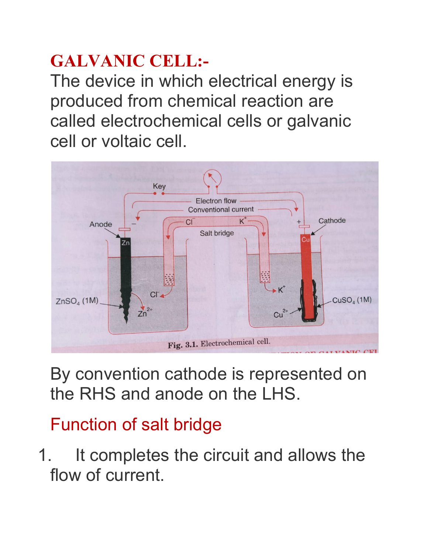# **GALVANIC CELL:-**

The device in which electrical energy is produced from chemical reaction are called electrochemical cells or galvanic cell or voltaic cell.



By convention cathode is represented on the RHS and anode on the LHS.

# Function of salt bridge

1. It completes the circuit and allows the flow of current.